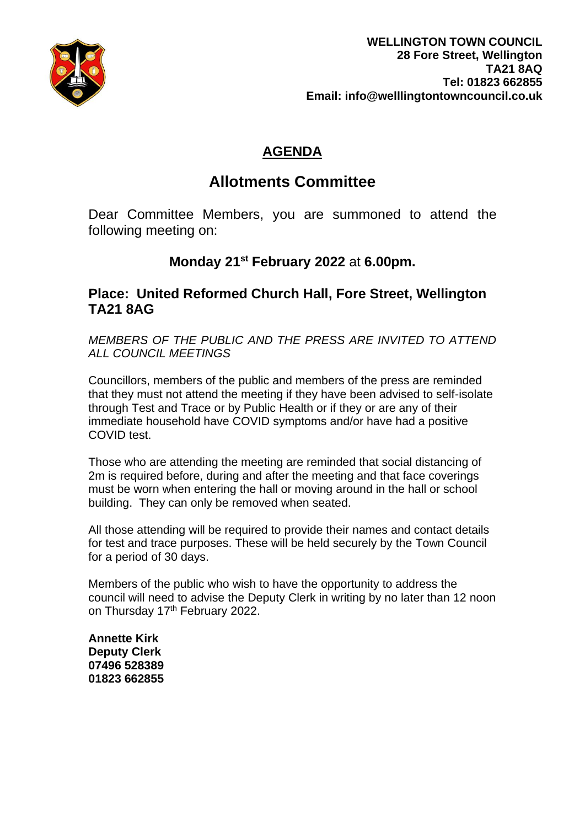

## **AGENDA**

# **Allotments Committee**

Dear Committee Members, you are summoned to attend the following meeting on:

## **Monday 21st February 2022** at **6.00pm.**

### **Place: United Reformed Church Hall, Fore Street, Wellington TA21 8AG**

*MEMBERS OF THE PUBLIC AND THE PRESS ARE INVITED TO ATTEND ALL COUNCIL MEETINGS*

Councillors, members of the public and members of the press are reminded that they must not attend the meeting if they have been advised to self-isolate through Test and Trace or by Public Health or if they or are any of their immediate household have COVID symptoms and/or have had a positive COVID test.

Those who are attending the meeting are reminded that social distancing of 2m is required before, during and after the meeting and that face coverings must be worn when entering the hall or moving around in the hall or school building. They can only be removed when seated.

All those attending will be required to provide their names and contact details for test and trace purposes. These will be held securely by the Town Council for a period of 30 days.

Members of the public who wish to have the opportunity to address the council will need to advise the Deputy Clerk in writing by no later than 12 noon on Thursday 17<sup>th</sup> February 2022.

**Annette Kirk Deputy Clerk 07496 528389 01823 662855**